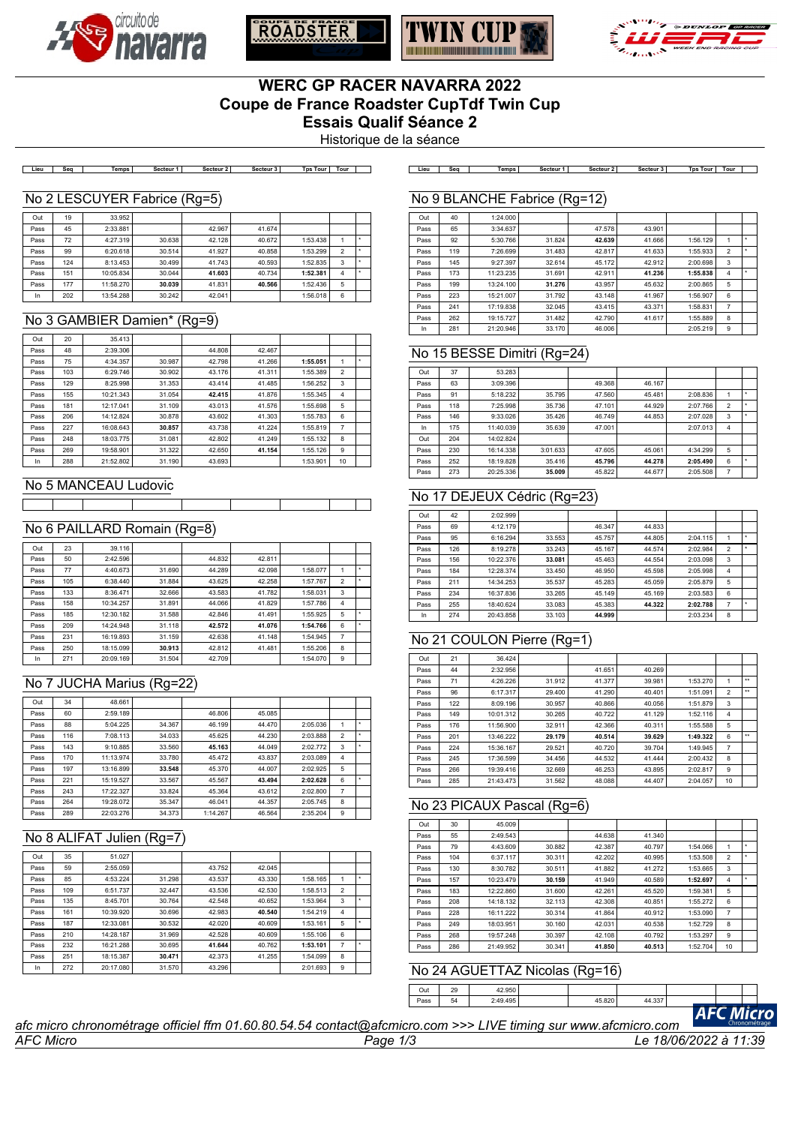







# **WERC GP RACER NAVARRA 2022 Coupe de France Roadster CupTdf Twin Cup Essais Qualif Séance 2**

Historique de la séance

**Lieu Seq Temps Secteur 1 Secteur 2 Secteur 3 Tps Tour Tour Lieu Seq Temps Secteur 1 Secteur 2 Secteur 3 Tps Tour Tour**

### No 2 LESCUYER Fabrice (Rg=5)

| Out  | 19  | 33.952    |        |        |        |          |                |   |
|------|-----|-----------|--------|--------|--------|----------|----------------|---|
| Pass | 45  | 2:33.881  |        | 42.967 | 41.674 |          |                |   |
| Pass | 72  | 4:27.319  | 30.638 | 42.128 | 40.672 | 1:53.438 |                | ٠ |
| Pass | 99  | 6:20.618  | 30.514 | 41.927 | 40.858 | 1:53.299 | $\overline{2}$ |   |
| Pass | 124 | 8:13.453  | 30.499 | 41.743 | 40.593 | 1:52.835 | 3              | ٠ |
| Pass | 151 | 10:05.834 | 30.044 | 41.603 | 40.734 | 1:52.381 | 4              | ۰ |
| Pass | 177 | 11:58.270 | 30.039 | 41.831 | 40.566 | 1:52.436 | 5              |   |
| In   | 202 | 13:54.288 | 30.242 | 42.041 |        | 1:56.018 | 6              |   |

### No 3 GAMBIER Damien\* (Rg=9)

| Out  | 20  | 35.413    |        |        |        |          |                |   |
|------|-----|-----------|--------|--------|--------|----------|----------------|---|
| Pass | 48  | 2:39.306  |        | 44.808 | 42.467 |          |                |   |
| Pass | 75  | 4:34.357  | 30.987 | 42.798 | 41.266 | 1:55.051 | 1              | ٠ |
| Pass | 103 | 6:29.746  | 30.902 | 43.176 | 41.311 | 1:55.389 | $\overline{2}$ |   |
| Pass | 129 | 8:25.998  | 31.353 | 43.414 | 41.485 | 1:56.252 | 3              |   |
| Pass | 155 | 10:21.343 | 31.054 | 42.415 | 41.876 | 1:55.345 | 4              |   |
| Pass | 181 | 12:17.041 | 31.109 | 43.013 | 41.576 | 1:55.698 | 5              |   |
| Pass | 206 | 14:12.824 | 30.878 | 43.602 | 41.303 | 1:55.783 | 6              |   |
| Pass | 227 | 16:08.643 | 30.857 | 43.738 | 41.224 | 1:55.819 | $\overline{7}$ |   |
| Pass | 248 | 18:03.775 | 31.081 | 42.802 | 41.249 | 1:55.132 | 8              |   |
| Pass | 269 | 19:58.901 | 31.322 | 42.650 | 41.154 | 1:55.126 | 9              |   |
| In.  | 288 | 21:52.802 | 31.190 | 43.693 |        | 1:53.901 | 10             |   |

### No 5 MANCEAU Ludovic

## No 6 PAILLARD Romain (Rg=8)

| Out  | 23  | 39.116    |        |        |        |          |                |   |
|------|-----|-----------|--------|--------|--------|----------|----------------|---|
| Pass | 50  | 2:42.596  |        | 44.832 | 42.811 |          |                |   |
| Pass | 77  | 4:40.673  | 31.690 | 44.289 | 42.098 | 1:58.077 |                |   |
| Pass | 105 | 6:38.440  | 31.884 | 43.625 | 42.258 | 1:57.767 | $\overline{2}$ |   |
| Pass | 133 | 8:36.471  | 32.666 | 43.583 | 41.782 | 1:58.031 | 3              |   |
| Pass | 158 | 10:34.257 | 31.891 | 44.066 | 41.829 | 1:57.786 | 4              |   |
| Pass | 185 | 12:30.182 | 31.588 | 42.846 | 41.491 | 1:55.925 | 5              |   |
| Pass | 209 | 14:24.948 | 31.118 | 42.572 | 41.076 | 1:54.766 | 6              | ٠ |
| Pass | 231 | 16:19.893 | 31.159 | 42.638 | 41.148 | 1:54.945 | $\overline{7}$ |   |
| Pass | 250 | 18:15.099 | 30.913 | 42.812 | 41.481 | 1:55.206 | 8              |   |
| In   | 271 | 20:09.169 | 31.504 | 42.709 |        | 1:54.070 | 9              |   |

# No 7 JUCHA Marius (Rg=22)

| Out  | 34  | 48.661    |        |          |        |          |                |   |
|------|-----|-----------|--------|----------|--------|----------|----------------|---|
| Pass | 60  | 2:59.189  |        | 46.806   | 45.085 |          |                |   |
| Pass | 88  | 5:04.225  | 34.367 | 46.199   | 44.470 | 2:05.036 |                |   |
| Pass | 116 | 7:08.113  | 34.033 | 45.625   | 44.230 | 2:03.888 | $\overline{2}$ |   |
| Pass | 143 | 9:10.885  | 33.560 | 45.163   | 44.049 | 2:02.772 | 3              |   |
| Pass | 170 | 11:13.974 | 33.780 | 45.472   | 43.837 | 2:03.089 | $\overline{4}$ |   |
| Pass | 197 | 13:16.899 | 33.548 | 45.370   | 44.007 | 2:02.925 | 5              |   |
| Pass | 221 | 15:19.527 | 33.567 | 45.567   | 43.494 | 2:02.628 | 6              | ۰ |
| Pass | 243 | 17:22.327 | 33.824 | 45.364   | 43.612 | 2:02.800 | 7              |   |
| Pass | 264 | 19:28.072 | 35.347 | 46.041   | 44.357 | 2:05.745 | 8              |   |
| Pass | 289 | 22:03.276 | 34.373 | 1:14.267 | 46.564 | 2:35.204 | 9              |   |

## No 8 ALIFAT Julien (Rg=7)

| Out  | 35  | 51.027    |        |        |        |          |                |   |
|------|-----|-----------|--------|--------|--------|----------|----------------|---|
| Pass | 59  | 2:55.059  |        | 43.752 | 42.045 |          |                |   |
| Pass | 85  | 4:53.224  | 31.298 | 43.537 | 43.330 | 1:58.165 |                |   |
| Pass | 109 | 6:51.737  | 32.447 | 43.536 | 42.530 | 1:58.513 | $\mathfrak{p}$ |   |
| Pass | 135 | 8:45.701  | 30.764 | 42.548 | 40.652 | 1:53.964 | 3              | ۰ |
| Pass | 161 | 10:39.920 | 30.696 | 42.983 | 40.540 | 1:54.219 | 4              |   |
| Pass | 187 | 12:33.081 | 30.532 | 42.020 | 40.609 | 1:53.161 | 5              | ۰ |
| Pass | 210 | 14:28.187 | 31.969 | 42.528 | 40.609 | 1:55.106 | 6              |   |
| Pass | 232 | 16:21.288 | 30.695 | 41.644 | 40.762 | 1:53.101 | $\overline{7}$ |   |
| Pass | 251 | 18:15.387 | 30.471 | 42.373 | 41.255 | 1:54.099 | 8              |   |
| In.  | 272 | 20:17.080 | 31.570 | 43.296 |        | 2:01.693 | 9              |   |

### No 9 BLANCHE Fabrice (Rg=12)

| Out  | 40  | 1:24.000  |        |        |        |          |                |   |
|------|-----|-----------|--------|--------|--------|----------|----------------|---|
| Pass | 65  | 3:34.637  |        | 47.578 | 43.901 |          |                |   |
| Pass | 92  | 5:30.766  | 31.824 | 42.639 | 41.666 | 1:56.129 | 1              | ۰ |
| Pass | 119 | 7:26.699  | 31.483 | 42.817 | 41.633 | 1:55.933 | $\overline{2}$ | ۰ |
| Pass | 145 | 9:27.397  | 32.614 | 45.172 | 42.912 | 2:00.698 | 3              |   |
| Pass | 173 | 11:23.235 | 31.691 | 42.911 | 41.236 | 1:55.838 | $\overline{4}$ | ٠ |
| Pass | 199 | 13:24.100 | 31.276 | 43.957 | 45.632 | 2:00.865 | 5              |   |
| Pass | 223 | 15:21.007 | 31.792 | 43.148 | 41.967 | 1:56.907 | 6              |   |
| Pass | 241 | 17:19.838 | 32.045 | 43.415 | 43.371 | 1:58.831 | $\overline{7}$ |   |
| Pass | 262 | 19:15.727 | 31.482 | 42.790 | 41.617 | 1:55.889 | 8              |   |
| In   | 281 | 21:20.946 | 33.170 | 46.006 |        | 2:05.219 | 9              |   |

## No 15 BESSE Dimitri (Rg=24)

| Out  | 37  | 53.283    |          |        |        |          |                |  |
|------|-----|-----------|----------|--------|--------|----------|----------------|--|
| Pass | 63  | 3:09.396  |          | 49.368 | 46.167 |          |                |  |
| Pass | 91  | 5:18.232  | 35.795   | 47.560 | 45.481 | 2:08.836 |                |  |
| Pass | 118 | 7:25.998  | 35.736   | 47.101 | 44.929 | 2:07.766 | $\overline{2}$ |  |
| Pass | 146 | 9:33.026  | 35.426   | 46.749 | 44.853 | 2:07.028 | 3              |  |
| In   | 175 | 11:40.039 | 35.639   | 47.001 |        | 2:07.013 | 4              |  |
| Out  | 204 | 14:02.824 |          |        |        |          |                |  |
| Pass | 230 | 16:14.338 | 3:01.633 | 47.605 | 45.061 | 4:34.299 | 5              |  |
| Pass | 252 | 18:19.828 | 35.416   | 45.796 | 44.278 | 2:05.490 | 6              |  |
| Pass | 273 | 20:25.336 | 35.009   | 45.822 | 44.677 | 2:05.508 | 7              |  |

## No 17 DEJEUX Cédric (Rg=23)

| Out  | 42  | 2:02.999  |        |        |        |          |                |  |
|------|-----|-----------|--------|--------|--------|----------|----------------|--|
| Pass | 69  | 4:12.179  |        | 46.347 | 44.833 |          |                |  |
| Pass | 95  | 6:16.294  | 33.553 | 45.757 | 44.805 | 2:04.115 |                |  |
| Pass | 126 | 8:19.278  | 33.243 | 45.167 | 44.574 | 2:02.984 | $\overline{2}$ |  |
| Pass | 156 | 10:22.376 | 33.081 | 45.463 | 44.554 | 2:03.098 | 3              |  |
| Pass | 184 | 12:28.374 | 33.450 | 46.950 | 45.598 | 2:05.998 | 4              |  |
| Pass | 211 | 14:34.253 | 35.537 | 45.283 | 45.059 | 2:05.879 | 5              |  |
| Pass | 234 | 16:37.836 | 33.265 | 45.149 | 45.169 | 2:03.583 | 6              |  |
| Pass | 255 | 18:40.624 | 33.083 | 45.383 | 44.322 | 2:02.788 | 7              |  |
| In   | 274 | 20:43.858 | 33.103 | 44.999 |        | 2:03.234 | 8              |  |

# No 21 COULON Pierre (Rg=1)

| Out  | 21  | 36.424    |        |        |        |          |                |              |
|------|-----|-----------|--------|--------|--------|----------|----------------|--------------|
| Pass | 44  | 2:32.956  |        | 41.651 | 40.269 |          |                |              |
| Pass | 71  | 4:26.226  | 31.912 | 41.377 | 39.981 | 1:53.270 | 1              | $\star\star$ |
| Pass | 96  | 6:17.317  | 29.400 | 41.290 | 40.401 | 1:51.091 | $\overline{2}$ | $\star\star$ |
| Pass | 122 | 8:09.196  | 30.957 | 40.866 | 40.056 | 1:51.879 | 3              |              |
| Pass | 149 | 10:01.312 | 30.265 | 40.722 | 41.129 | 1:52.116 | 4              |              |
| Pass | 176 | 11:56.900 | 32.911 | 42.366 | 40.311 | 1:55.588 | 5              |              |
| Pass | 201 | 13:46.222 | 29.179 | 40.514 | 39.629 | 1:49.322 | 6              | $**$         |
| Pass | 224 | 15:36.167 | 29.521 | 40.720 | 39.704 | 1:49.945 | $\overline{7}$ |              |
| Pass | 245 | 17:36.599 | 34.456 | 44.532 | 41.444 | 2:00.432 | 8              |              |
| Pass | 266 | 19:39.416 | 32.669 | 46.253 | 43.895 | 2:02.817 | 9              |              |
| Pass | 285 | 21:43.473 | 31.562 | 48.088 | 44.407 | 2:04.057 | 10             |              |

### No 23 PICAUX Pascal (Rg=6)

| Out  | 30  | 45.009    |        |        |        |          |                |  |
|------|-----|-----------|--------|--------|--------|----------|----------------|--|
| Pass | 55  | 2:49.543  |        | 44.638 | 41.340 |          |                |  |
| Pass | 79  | 4:43.609  | 30.882 | 42.387 | 40.797 | 1:54.066 | 1              |  |
| Pass | 104 | 6:37.117  | 30.311 | 42.202 | 40.995 | 1:53.508 | $\overline{2}$ |  |
| Pass | 130 | 8:30.782  | 30.511 | 41.882 | 41.272 | 1:53.665 | 3              |  |
| Pass | 157 | 10:23.479 | 30.159 | 41.949 | 40.589 | 1:52.697 | $\overline{4}$ |  |
| Pass | 183 | 12:22.860 | 31,600 | 42.261 | 45.520 | 1:59.381 | 5              |  |
| Pass | 208 | 14:18.132 | 32.113 | 42.308 | 40.851 | 1:55.272 | 6              |  |
| Pass | 228 | 16:11.222 | 30.314 | 41.864 | 40.912 | 1:53.090 | $\overline{7}$ |  |
| Pass | 249 | 18:03.951 | 30.160 | 42.031 | 40.538 | 1:52.729 | 8              |  |
| Pass | 268 | 19:57.248 | 30.397 | 42.108 | 40.792 | 1:53.297 | 9              |  |
| Pass | 286 | 21:49.952 | 30.341 | 41.850 | 40.513 | 1:52.704 | 10             |  |

### No 24 AGUETTAZ Nicolas (Rg=16)

Pass 54 2:49.495 45.820 44.337

Out 29 42.950

AFC Micro

|           | afc micro chronométrage officiel ffm 01.60.80.54.54 contact@afcmicro.com >>> LIVE timing sur www.afcmicro.com | Chronométra          |
|-----------|---------------------------------------------------------------------------------------------------------------|----------------------|
| AFC Micro | Page 1/3                                                                                                      | e 18/06/2022 à 11:39 |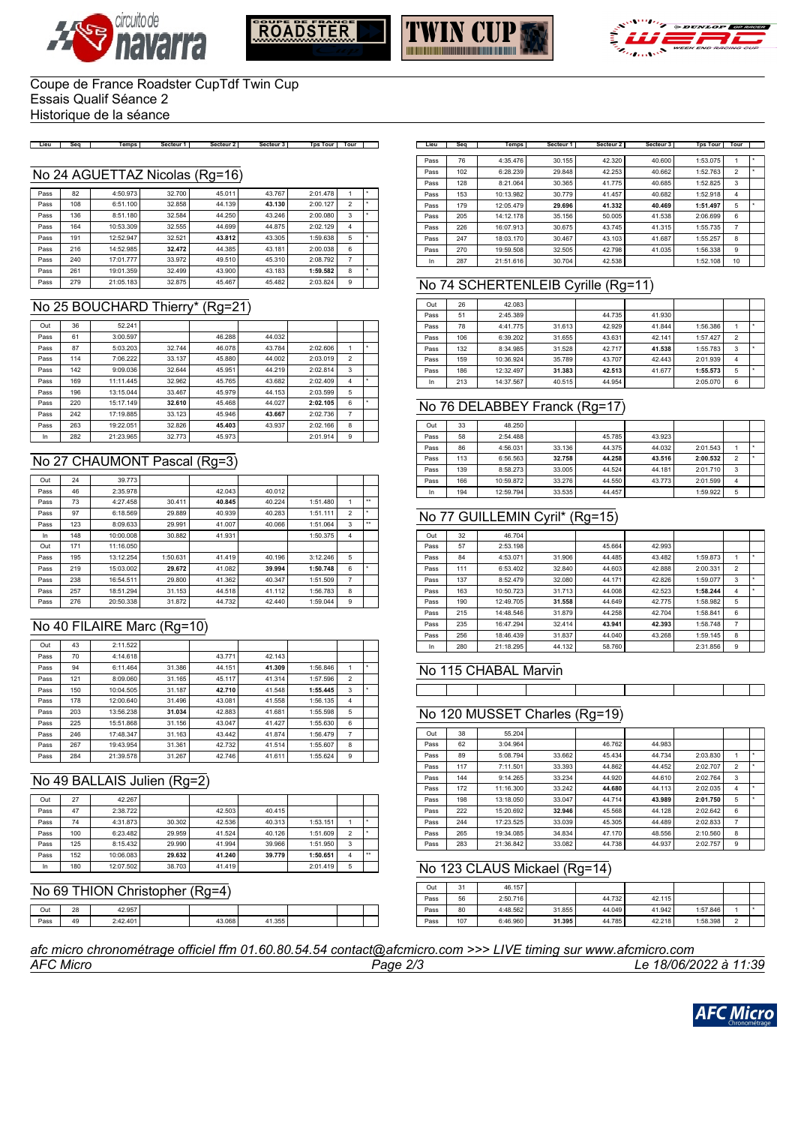







### Coupe de France Roadster CupTdf Twin Cup Essais Qualif Séance 2 Historique de la séance

Lieu | Seq | Temps | Secteur 1 | Secteur 2 | Secteur 3 | Tps Tour | Tour | |

### No 24 AGUETTAZ Nicolas (Rg=16)

| Pass | 82  | 4:50.973  | 32.700 | 45.011 | 43.767 | 2:01.478 |                |  |
|------|-----|-----------|--------|--------|--------|----------|----------------|--|
| Pass | 108 | 6:51.100  | 32.858 | 44.139 | 43.130 | 2:00.127 | $\overline{2}$ |  |
| Pass | 136 | 8:51.180  | 32.584 | 44.250 | 43.246 | 2:00.080 | 3              |  |
| Pass | 164 | 10:53.309 | 32.555 | 44.699 | 44.875 | 2:02.129 | 4              |  |
| Pass | 191 | 12:52.947 | 32.521 | 43.812 | 43.305 | 1:59.638 | 5              |  |
| Pass | 216 | 14:52.985 | 32.472 | 44.385 | 43.181 | 2:00.038 | 6              |  |
| Pass | 240 | 17:01.777 | 33.972 | 49.510 | 45.310 | 2:08.792 | 7              |  |
| Pass | 261 | 19:01.359 | 32.499 | 43.900 | 43.183 | 1:59.582 | 8              |  |
| Pass | 279 | 21:05.183 | 32.875 | 45.467 | 45.482 | 2:03.824 | 9              |  |

# No 25 BOUCHARD Thierry\* (Rg=21)

| Out  | 36  | 52.241    |        |        |        |          |                |   |
|------|-----|-----------|--------|--------|--------|----------|----------------|---|
| Pass | 61  | 3:00.597  |        | 46.288 | 44.032 |          |                |   |
| Pass | 87  | 5:03.203  | 32.744 | 46.078 | 43.784 | 2:02.606 |                | ۰ |
| Pass | 114 | 7:06.222  | 33.137 | 45.880 | 44.002 | 2:03.019 | $\mathfrak{p}$ |   |
| Pass | 142 | 9:09.036  | 32.644 | 45.951 | 44.219 | 2:02.814 | 3              |   |
| Pass | 169 | 11:11.445 | 32.962 | 45.765 | 43.682 | 2:02.409 | 4              |   |
| Pass | 196 | 13:15.044 | 33.467 | 45.979 | 44.153 | 2:03.599 | 5              |   |
| Pass | 220 | 15:17.149 | 32.610 | 45.468 | 44.027 | 2:02.105 | 6              |   |
| Pass | 242 | 17:19.885 | 33.123 | 45.946 | 43.667 | 2:02.736 | 7              |   |
| Pass | 263 | 19:22.051 | 32.826 | 45.403 | 43.937 | 2:02.166 | 8              |   |
| In   | 282 | 21:23.965 | 32.773 | 45.973 |        | 2:01.914 | 9              |   |

### No 27 CHAUMONT Pascal (Rg=3)

| Out  | 24  | 39.773    |          |        |        |          |                |                  |
|------|-----|-----------|----------|--------|--------|----------|----------------|------------------|
| Pass | 46  | 2:35.978  |          | 42.043 | 40.012 |          |                |                  |
| Pass | 73  | 4:27.458  | 30.411   | 40.845 | 40.224 | 1:51.480 |                | $\ddot{\bullet}$ |
| Pass | 97  | 6:18.569  | 29.889   | 40.939 | 40.283 | 1:51.111 | $\overline{2}$ | ٠                |
| Pass | 123 | 8:09.633  | 29.991   | 41.007 | 40.066 | 1:51.064 | 3              | $\star\star$     |
| In   | 148 | 10:00.008 | 30.882   | 41.931 |        | 1:50.375 | 4              |                  |
| Out  | 171 | 11:16.050 |          |        |        |          |                |                  |
| Pass | 195 | 13:12.254 | 1:50.631 | 41.419 | 40.196 | 3:12.246 | 5              |                  |
| Pass | 219 | 15:03.002 | 29.672   | 41.082 | 39.994 | 1:50.748 | 6              |                  |
| Pass | 238 | 16:54.511 | 29,800   | 41.362 | 40.347 | 1:51.509 | 7              |                  |
| Pass | 257 | 18:51.294 | 31.153   | 44.518 | 41.112 | 1:56.783 | 8              |                  |
| Pass | 276 | 20:50.338 | 31,872   | 44.732 | 42.440 | 1:59.044 | 9              |                  |
|      |     |           |          |        |        |          |                |                  |

# No 40 FILAIRE Marc (Rg=10)

| Out  | 43  | 2:11.522  |        |        |        |          |                |  |
|------|-----|-----------|--------|--------|--------|----------|----------------|--|
| Pass | 70  | 4:14.618  |        | 43.771 | 42.143 |          |                |  |
| Pass | 94  | 6:11.464  | 31.386 | 44.151 | 41.309 | 1:56.846 |                |  |
| Pass | 121 | 8:09.060  | 31.165 | 45.117 | 41.314 | 1:57.596 | $\overline{2}$ |  |
| Pass | 150 | 10:04.505 | 31.187 | 42.710 | 41.548 | 1:55.445 | 3              |  |
| Pass | 178 | 12:00.640 | 31,496 | 43.081 | 41.558 | 1:56.135 | $\overline{4}$ |  |
| Pass | 203 | 13:56.238 | 31.034 | 42.883 | 41.681 | 1:55.598 | 5              |  |
| Pass | 225 | 15:51.868 | 31.156 | 43.047 | 41.427 | 1:55.630 | 6              |  |
| Pass | 246 | 17:48.347 | 31.163 | 43.442 | 41.874 | 1:56.479 | 7              |  |
| Pass | 267 | 19:43.954 | 31.361 | 42.732 | 41.514 | 1:55.607 | 8              |  |
| Pass | 284 | 21:39.578 | 31.267 | 42.746 | 41.611 | 1:55.624 | 9              |  |

## No 49 BALLAIS Julien (Rg=2)

| Out  | 27  | 42.267    |        |        |        |          |                |              |
|------|-----|-----------|--------|--------|--------|----------|----------------|--------------|
| Pass | 47  | 2:38.722  |        | 42.503 | 40.415 |          |                |              |
| Pass | 74  | 4:31.873  | 30.302 | 42.536 | 40.313 | 1:53.151 |                |              |
| Pass | 100 | 6:23.482  | 29.959 | 41.524 | 40.126 | 1:51.609 | $\overline{2}$ |              |
| Pass | 125 | 8:15.432  | 29,990 | 41.994 | 39.966 | 1:51.950 | 3              |              |
| Pass | 152 | 10:06.083 | 29.632 | 41.240 | 39.779 | 1:50.651 | 4              | $\star\star$ |
| In   | 180 | 12:07.502 | 38.703 | 41.419 |        | 2:01.419 | 5              |              |

### No 69 THION Christopher (Rg=4)

| Out  | $\Omega$<br>28 | 957<br>$\sqrt{2}$            |      |                   |  |  |
|------|----------------|------------------------------|------|-------------------|--|--|
| Pass | 49             | $A \cap$<br>2.42.<br>2.72.79 | .068 | .355<br>$\lambda$ |  |  |

| Lieu | Sea | <b>Temps</b> | Secteur 1 | Secteur <sub>2</sub> | Secteur 3 | <b>Tps Tour</b> | Tour           |   |
|------|-----|--------------|-----------|----------------------|-----------|-----------------|----------------|---|
|      |     |              |           |                      |           |                 |                |   |
| Pass | 76  | 4:35.476     | 30.155    | 42.320               | 40.600    | 1:53.075        |                |   |
| Pass | 102 | 6:28.239     | 29.848    | 42.253               | 40.662    | 1:52.763        | $\overline{2}$ |   |
| Pass | 128 | 8:21.064     | 30.365    | 41.775               | 40.685    | 1:52.825        | 3              |   |
| Pass | 153 | 10:13.982    | 30.779    | 41.457               | 40.682    | 1:52.918        | 4              |   |
| Pass | 179 | 12:05.479    | 29.696    | 41.332               | 40.469    | 1:51.497        | 5              | ٠ |
| Pass | 205 | 14:12.178    | 35.156    | 50.005               | 41.538    | 2:06.699        | 6              |   |
| Pass | 226 | 16:07.913    | 30.675    | 43.745               | 41.315    | 1:55.735        | 7              |   |
| Pass | 247 | 18:03.170    | 30.467    | 43.103               | 41.687    | 1:55.257        | 8              |   |
| Pass | 270 | 19:59.508    | 32.505    | 42.798               | 41.035    | 1:56.338        | 9              |   |
| In   | 287 | 21:51.616    | 30.704    | 42.538               |           | 1:52.108        | 10             |   |

### No 74 SCHERTENLEIB Cyrille (Rg=11)

| Out  | 26  | 42.083    |        |        |        |          |                |  |
|------|-----|-----------|--------|--------|--------|----------|----------------|--|
| Pass | 51  | 2:45.389  |        | 44.735 | 41.930 |          |                |  |
| Pass | 78  | 4:41.775  | 31.613 | 42.929 | 41.844 | 1:56.386 |                |  |
| Pass | 106 | 6:39.202  | 31.655 | 43.631 | 42.141 | 1:57.427 | $\mathfrak{p}$ |  |
| Pass | 132 | 8:34.985  | 31.528 | 42.717 | 41.538 | 1:55.783 | 3              |  |
| Pass | 159 | 10:36.924 | 35.789 | 43.707 | 42.443 | 2:01.939 | 4              |  |
| Pass | 186 | 12:32.497 | 31.383 | 42.513 | 41.677 | 1:55.573 | 5              |  |
| In   | 213 | 14:37.567 | 40.515 | 44.954 |        | 2:05.070 | 6              |  |

### No 76 DELABBEY Franck (Rg=17)

| Out  | 33  | 48.250    |        |        |        |          |                |  |
|------|-----|-----------|--------|--------|--------|----------|----------------|--|
| Pass | 58  | 2:54.488  |        | 45.785 | 43.923 |          |                |  |
| Pass | 86  | 4:56.031  | 33.136 | 44.375 | 44.032 | 2:01.543 |                |  |
| Pass | 113 | 6:56.563  | 32.758 | 44.258 | 43.516 | 2:00.532 | $\overline{2}$ |  |
| Pass | 139 | 8:58.273  | 33.005 | 44.524 | 44.181 | 2:01.710 | 3              |  |
| Pass | 166 | 10:59.872 | 33.276 | 44.550 | 43.773 | 2:01.599 | 4              |  |
| In   | 194 | 12:59.794 | 33.535 | 44.457 |        | 1:59.922 | 5              |  |

## No 77 GUILLEMIN Cyril\* (Rg=15)

| Out  | 32  | 46.704    |        |        |        |          |                |   |
|------|-----|-----------|--------|--------|--------|----------|----------------|---|
| Pass | 57  | 2:53.198  |        | 45.664 | 42.993 |          |                |   |
| Pass | 84  | 4:53.071  | 31.906 | 44.485 | 43.482 | 1:59.873 | 1              | ۰ |
| Pass | 111 | 6:53.402  | 32.840 | 44.603 | 42.888 | 2:00.331 | $\overline{2}$ |   |
| Pass | 137 | 8:52.479  | 32.080 | 44.171 | 42.826 | 1:59.077 | 3              |   |
| Pass | 163 | 10:50.723 | 31.713 | 44.008 | 42.523 | 1:58.244 | $\overline{4}$ |   |
| Pass | 190 | 12:49.705 | 31.558 | 44.649 | 42.775 | 1:58.982 | 5              |   |
| Pass | 215 | 14:48.546 | 31.879 | 44.258 | 42.704 | 1:58.841 | 6              |   |
| Pass | 235 | 16:47.294 | 32.414 | 43.941 | 42.393 | 1:58.748 | 7              |   |
| Pass | 256 | 18:46.439 | 31.837 | 44.040 | 43.268 | 1:59.145 | 8              |   |
| In   | 280 | 21:18.295 | 44.132 | 58.760 |        | 2:31.856 | 9              |   |

### No 115 CHABAL Marvin

## No 120 MUSSET Charles (Rg=19)

| Out  | 38  | 55.204    |        |        |        |          |                |   |
|------|-----|-----------|--------|--------|--------|----------|----------------|---|
| Pass | 62  | 3:04.964  |        | 46.762 | 44.983 |          |                |   |
| Pass | 89  | 5:08.794  | 33.662 | 45.434 | 44.734 | 2:03.830 | 1              |   |
| Pass | 117 | 7:11.501  | 33.393 | 44.862 | 44.452 | 2:02.707 | $\overline{2}$ |   |
| Pass | 144 | 9:14.265  | 33.234 | 44.920 | 44.610 | 2:02.764 | 3              |   |
| Pass | 172 | 11:16.300 | 33.242 | 44.680 | 44.113 | 2:02.035 | 4              | ٠ |
| Pass | 198 | 13:18.050 | 33.047 | 44.714 | 43.989 | 2:01.750 | 5              |   |
| Pass | 222 | 15:20.692 | 32.946 | 45.568 | 44.128 | 2:02.642 | 6              |   |
| Pass | 244 | 17:23.525 | 33.039 | 45.305 | 44.489 | 2:02.833 | $\overline{7}$ |   |
| Pass | 265 | 19:34.085 | 34.834 | 47.170 | 48.556 | 2:10.560 | 8              |   |
| Pass | 283 | 21:36.842 | 33.082 | 44.738 | 44.937 | 2:02.757 | 9              |   |

## No 123 CLAUS Mickael (Rg=14)

|     |        |  |  | Out  | 31  | 46.157   |        |        |        |          |        |  |
|-----|--------|--|--|------|-----|----------|--------|--------|--------|----------|--------|--|
|     |        |  |  | Pass | 56  | 2:50.716 |        | 44.732 | 42.115 |          |        |  |
|     |        |  |  | Pass | 80  | 4:48.562 | 31.855 | 44.049 | 41.942 | 1:57.846 |        |  |
| B I | 41.355 |  |  | Pass | 107 | 6:46.960 | 31.395 | 44.785 | 42.218 | 1:58.398 | $\sim$ |  |

### *AFC Micro Page 2/3 Le 18/06/2022 à 11:39 afc micro chronométrage officiel ffm 01.60.80.54.54 contact@afcmicro.com >>> LIVE timing sur www.afcmicro.com*